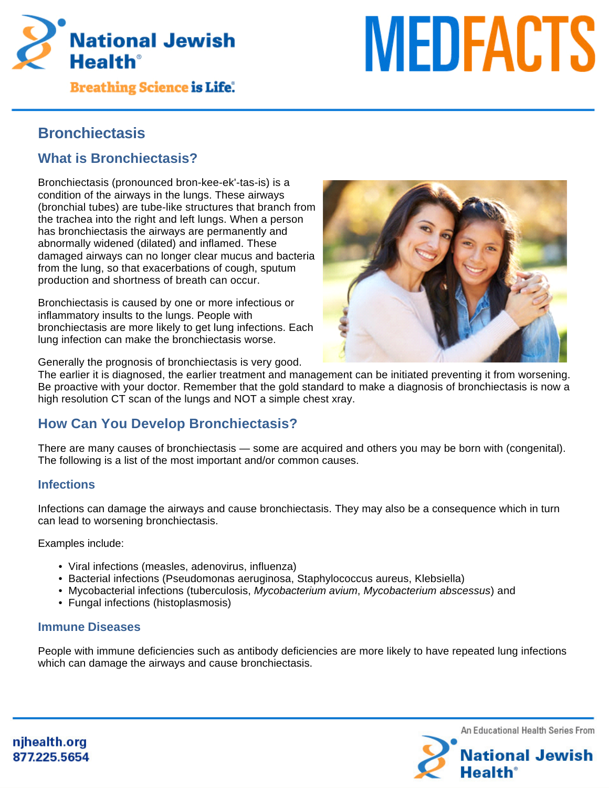

**Breathing Science is Life.** 

# **MEDFACTS**

# **Bronchiectasis**

# **What is Bronchiectasis?**

Bronchiectasis (pronounced bron-kee-ek'-tas-is) is a condition of the airways in the lungs. These airways (bronchial tubes) are tube-like structures that branch from the trachea into the right and left lungs. When a person has bronchiectasis the airways are permanently and abnormally widened (dilated) and inflamed. These damaged airways can no longer clear mucus and bacteria from the lung, so that exacerbations of cough, sputum production and shortness of breath can occur.

Bronchiectasis is caused by one or more infectious or inflammatory insults to the lungs. People with bronchiectasis are more likely to get lung infections. Each lung infection can make the bronchiectasis worse.



Generally the prognosis of bronchiectasis is very good.

The earlier it is diagnosed, the earlier treatment and management can be initiated preventing it from worsening. Be proactive with your doctor. Remember that the gold standard to make a diagnosis of bronchiectasis is now a high resolution CT scan of the lungs and NOT a simple chest xray.

# **How Can You Develop Bronchiectasis?**

There are many causes of bronchiectasis — some are acquired and others you may be born with (congenital). The following is a list of the most important and/or common causes.

#### **Infections**

Infections can damage the airways and cause bronchiectasis. They may also be a consequence which in turn can lead to worsening bronchiectasis.

Examples include:

- Viral infections (measles, adenovirus, influenza)
- Bacterial infections (Pseudomonas aeruginosa, Staphylococcus aureus, Klebsiella)
- Mycobacterial infections (tuberculosis, Mycobacterium avium, Mycobacterium abscessus) and
- Fungal infections (histoplasmosis)

#### **Immune Diseases**

People with immune deficiencies such as antibody deficiencies are more likely to have repeated lung infections which can damage the airways and cause bronchiectasis.

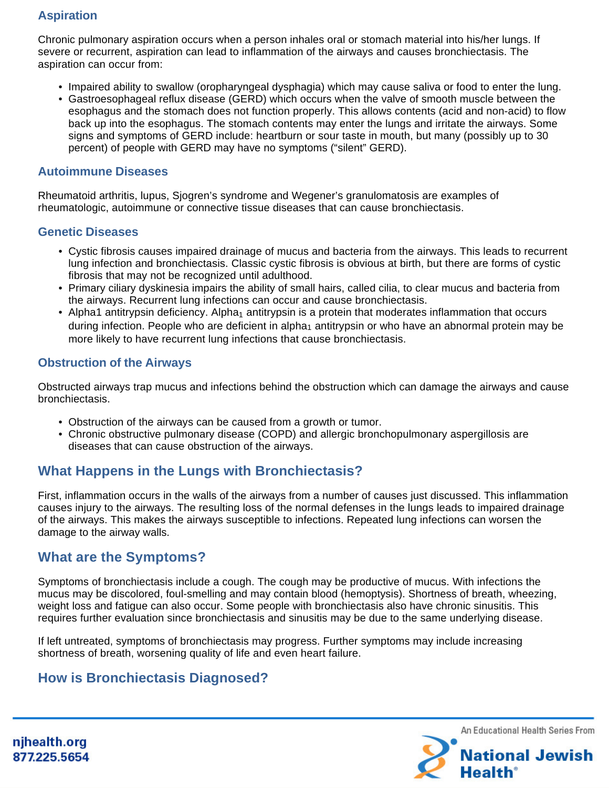## **Aspiration**

Chronic pulmonary aspiration occurs when a person inhales oral or stomach material into his/her lungs. If severe or recurrent, aspiration can lead to inflammation of the airways and causes bronchiectasis. The aspiration can occur from:

- Impaired ability to swallow (oropharyngeal dysphagia) which may cause saliva or food to enter the lung.
- Gastroesophageal reflux disease (GERD) which occurs when the valve of smooth muscle between the esophagus and the stomach does not function properly. This allows contents (acid and non-acid) to flow back up into the esophagus. The stomach contents may enter the lungs and irritate the airways. Some signs and symptoms of GERD include: heartburn or sour taste in mouth, but many (possibly up to 30 percent) of people with GERD may have no symptoms ("silent" GERD).

#### **Autoimmune Diseases**

Rheumatoid arthritis, lupus, Sjogren's syndrome and Wegener's granulomatosis are examples of rheumatologic, autoimmune or connective tissue diseases that can cause bronchiectasis.

#### **Genetic Diseases**

- Cystic fibrosis causes impaired drainage of mucus and bacteria from the airways. This leads to recurrent lung infection and bronchiectasis. Classic cystic fibrosis is obvious at birth, but there are forms of cystic fibrosis that may not be recognized until adulthood.
- Primary ciliary dyskinesia impairs the ability of small hairs, called cilia, to clear mucus and bacteria from the airways. Recurrent lung infections can occur and cause bronchiectasis.
- Alpha1 antitrypsin deficiency. Alpha<sub>1</sub> antitrypsin is a protein that moderates inflammation that occurs during infection. People who are deficient in alpha<sub>1</sub> antitrypsin or who have an abnormal protein may be more likely to have recurrent lung infections that cause bronchiectasis.

#### **Obstruction of the Airways**

Obstructed airways trap mucus and infections behind the obstruction which can damage the airways and cause bronchiectasis.

- Obstruction of the airways can be caused from a growth or tumor.
- Chronic obstructive pulmonary disease (COPD) and allergic bronchopulmonary aspergillosis are diseases that can cause obstruction of the airways.

# **What Happens in the Lungs with Bronchiectasis?**

First, inflammation occurs in the walls of the airways from a number of causes just discussed. This inflammation causes injury to the airways. The resulting loss of the normal defenses in the lungs leads to impaired drainage of the airways. This makes the airways susceptible to infections. Repeated lung infections can worsen the damage to the airway walls.

## **What are the Symptoms?**

Symptoms of bronchiectasis include a cough. The cough may be productive of mucus. With infections the mucus may be discolored, foul-smelling and may contain blood (hemoptysis). Shortness of breath, wheezing, weight loss and fatigue can also occur. Some people with bronchiectasis also have chronic sinusitis. This requires further evaluation since bronchiectasis and sinusitis may be due to the same underlying disease.

If left untreated, symptoms of bronchiectasis may progress. Further symptoms may include increasing shortness of breath, worsening quality of life and even heart failure.

# **How is Bronchiectasis Diagnosed?**

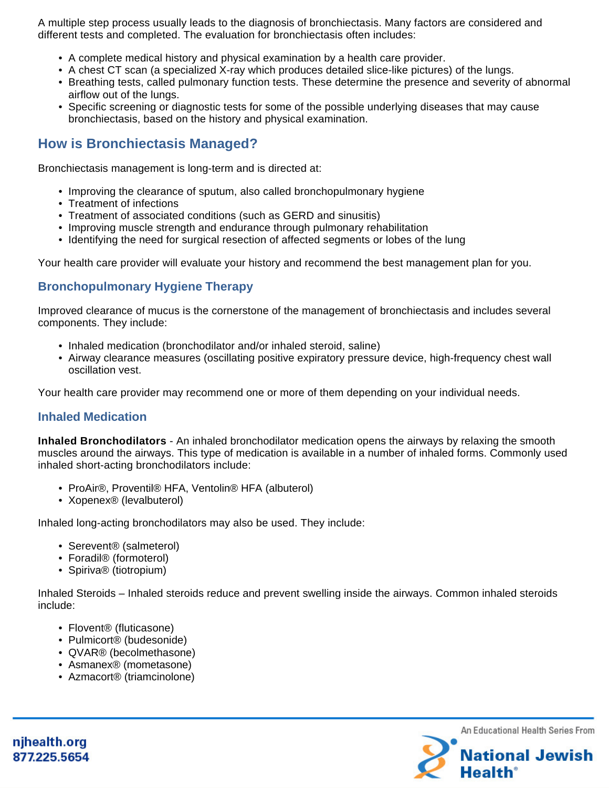A multiple step process usually leads to the diagnosis of bronchiectasis. Many factors are considered and different tests and completed. The evaluation for bronchiectasis often includes:

- A complete medical history and physical examination by a health care provider.
- A chest CT scan (a specialized X-ray which produces detailed slice-like pictures) of the lungs.
- Breathing tests, called pulmonary function tests. These determine the presence and severity of abnormal airflow out of the lungs.
- Specific screening or diagnostic tests for some of the possible underlying diseases that may cause bronchiectasis, based on the history and physical examination.

## **How is Bronchiectasis Managed?**

Bronchiectasis management is long-term and is directed at:

- Improving the clearance of sputum, also called bronchopulmonary hygiene
- Treatment of infections
- Treatment of associated conditions (such as GERD and sinusitis)
- Improving muscle strength and endurance through pulmonary rehabilitation
- Identifying the need for surgical resection of affected segments or lobes of the lung

Your health care provider will evaluate your history and recommend the best management plan for you.

### **Bronchopulmonary Hygiene Therapy**

Improved clearance of mucus is the cornerstone of the management of bronchiectasis and includes several components. They include:

- Inhaled medication (bronchodilator and/or inhaled steroid, saline)
- Airway clearance measures (oscillating positive expiratory pressure device, high-frequency chest wall oscillation vest.

Your health care provider may recommend one or more of them depending on your individual needs.

#### **Inhaled Medication**

**Inhaled Bronchodilators** - An inhaled bronchodilator medication opens the airways by relaxing the smooth muscles around the airways. This type of medication is available in a number of inhaled forms. Commonly used inhaled short-acting bronchodilators include:

- ProAir®, Proventil® HFA, Ventolin® HFA (albuterol)
- Xopenex® (levalbuterol)

Inhaled long-acting bronchodilators may also be used. They include:

- Serevent<sup>®</sup> (salmeterol)
- Foradil® (formoterol)
- Spiriva® (tiotropium)

Inhaled Steroids – Inhaled steroids reduce and prevent swelling inside the airways. Common inhaled steroids include:

- Flovent® (fluticasone)
- Pulmicort® (budesonide)
- QVAR® (becolmethasone)
- Asmanex® (mometasone)
- Azmacort® (triamcinolone)

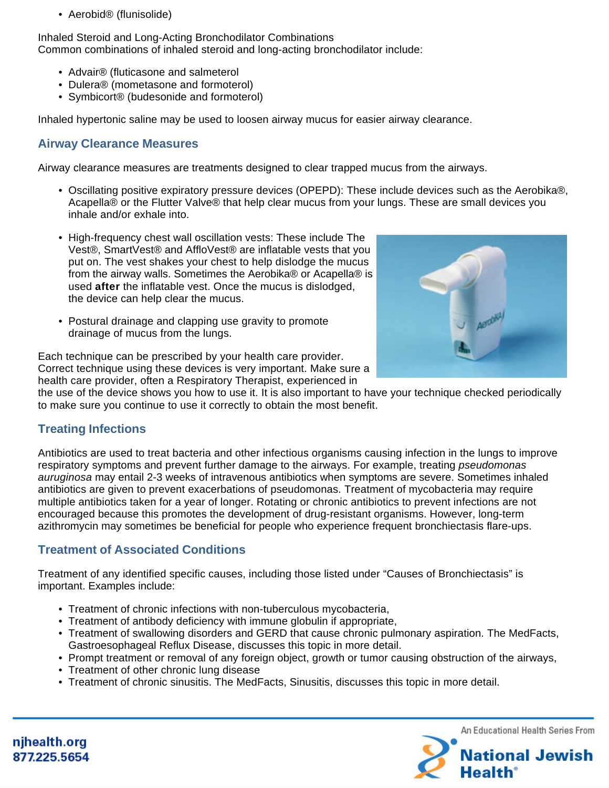• Aerobid® (flunisolide)

Inhaled Steroid and Long-Acting Bronchodilator Combinations Common combinations of inhaled steroid and long-acting bronchodilator include:

- Advair® (fluticasone and salmeterol
- Dulera® (mometasone and formoterol)
- Symbicort® (budesonide and formoterol)

Inhaled hypertonic saline may be used to loosen airway mucus for easier airway clearance.

## **Airway Clearance Measures**

Airway clearance measures are treatments designed to clear trapped mucus from the airways.

- Oscillating positive expiratory pressure devices (OPEPD): These include devices such as the Aerobika®, Acapella® or the Flutter Valve® that help clear mucus from your lungs. These are small devices you inhale and/or exhale into.
- High-frequency chest wall oscillation vests: These include The Vest®, SmartVest® and AffloVest® are inflatable vests that you put on. The vest shakes your chest to help dislodge the mucus from the airway walls. Sometimes the Aerobika® or Acapella® is used **after** the inflatable vest. Once the mucus is dislodged, the device can help clear the mucus.
- Postural drainage and clapping use gravity to promote drainage of mucus from the lungs.



Each technique can be prescribed by your health care provider. Correct technique using these devices is very important. Make sure a health care provider, often a Respiratory Therapist, experienced in

the use of the device shows you how to use it. It is also important to have your technique checked periodically to make sure you continue to use it correctly to obtain the most benefit.

## **Treating Infections**

Antibiotics are used to treat bacteria and other infectious organisms causing infection in the lungs to improve respiratory symptoms and prevent further damage to the airways. For example, treating pseudomonas auruginosa may entail 2-3 weeks of intravenous antibiotics when symptoms are severe. Sometimes inhaled antibiotics are given to prevent exacerbations of pseudomonas. Treatment of mycobacteria may require multiple antibiotics taken for a year of longer. Rotating or chronic antibiotics to prevent infections are not encouraged because this promotes the development of drug-resistant organisms. However, long-term azithromycin may sometimes be beneficial for people who experience frequent bronchiectasis flare-ups.

## **Treatment of Associated Conditions**

Treatment of any identified specific causes, including those listed under "Causes of Bronchiectasis" is important. Examples include:

- Treatment of chronic infections with non-tuberculous mycobacteria,
- Treatment of antibody deficiency with immune globulin if appropriate,
- Treatment of swallowing disorders and GERD that cause chronic pulmonary aspiration. The MedFacts, Gastroesophageal Reflux Disease, discusses this topic in more detail.
- Prompt treatment or removal of any foreign object, growth or tumor causing obstruction of the airways,
- Treatment of other chronic lung disease
- Treatment of chronic sinusitis. The MedFacts, Sinusitis, discusses this topic in more detail.